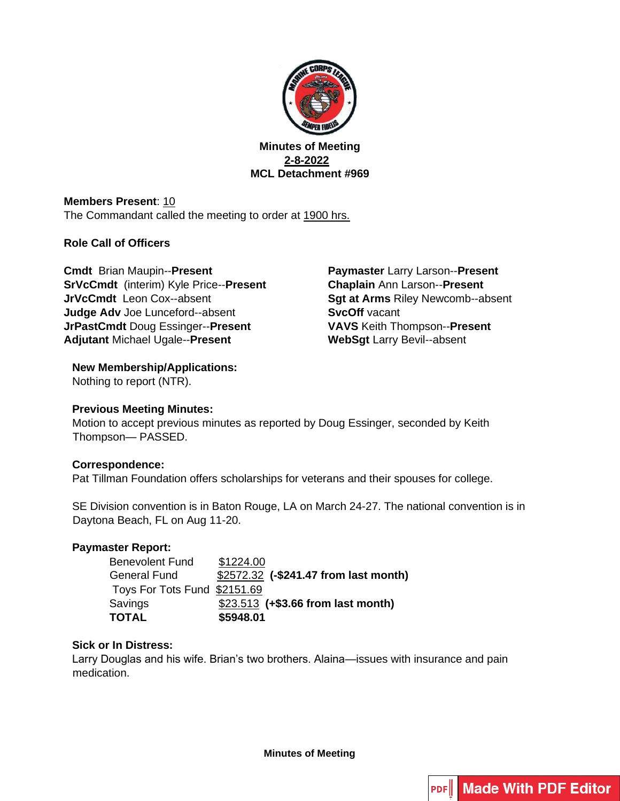

**Minutes of Meeting 2-8-2022 MCL Detachment #969** 

**Members Present: 10** The Commandant called the meeting to order at 1900 hrs.

### **Role Call of Officers**

**Cmdt** Brian Maupin--**Present SrVcCmdt** (interim) Kyle Price--**Present JrVcCmdt** Leon Cox--absent **Judge Adv** Joe Lunceford--absent **JrPastCmdt** Doug Essinger--**Present Adjutant** Michael Ugale--**Present** 

**Paymaster** Larry Larson--**Present Chaplain** Ann Larson--**Present Sgt at Arms** Riley Newcomb--absent **SvcOff** vacant **VAVS** Keith Thompson--**Present WebSgt** Larry Bevil--absent

# **New Membership/Applications:**

Nothing to report (NTR).

# **Previous Meeting Minutes:**

Motion to accept previous minutes as reported by Doug Essinger, seconded by Keith Thompson— PASSED.

# **Correspondence:**

Pat Tillman Foundation offers scholarships for veterans and their spouses for college.

SE Division convention is in Baton Rouge, LA on March 24-27. The national convention is in Daytona Beach, FL on Aug 11-20.

# **Paymaster Report:**

| <b>Benevolent Fund</b>       | \$1224.00                             |
|------------------------------|---------------------------------------|
| <b>General Fund</b>          | \$2572.32 (-\$241.47 from last month) |
| Toys For Tots Fund \$2151.69 |                                       |
| Savings                      | \$23.513 (+\$3.66 from last month)    |
| <b>TOTAL</b>                 | \$5948.01                             |

# **Sick or In Distress:**

Larry Douglas and his wife. Brian's two brothers. Alaina—issues with insurance and pain medication.

**Minutes of Meeting**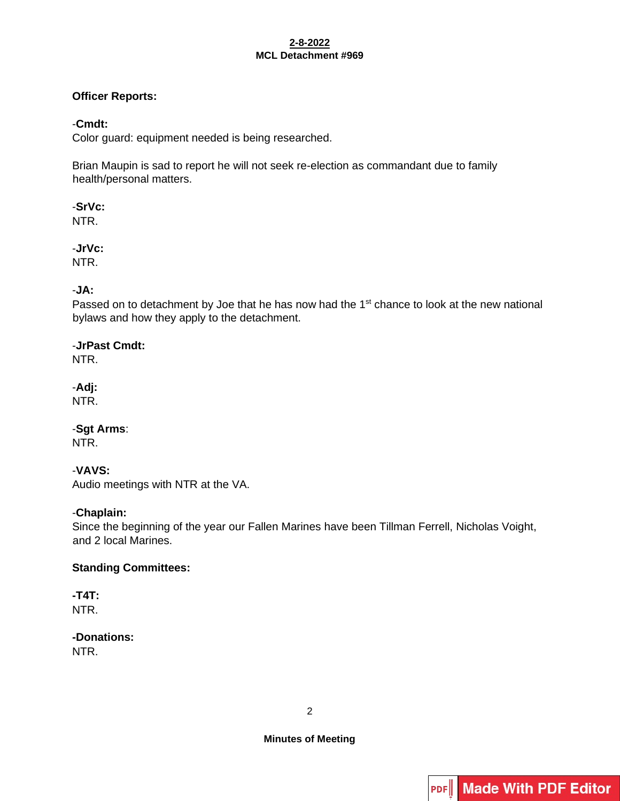#### **2-8-2022 MCL Detachment #969**

### **Officer Reports:**

### -**Cmdt:**

Color guard: equipment needed is being researched.

Brian Maupin is sad to report he will not seek re-election as commandant due to family health/personal matters.

-**SrVc:** NTR.

-**JrVc:** NTR.

# -**JA:**

Passed on to detachment by Joe that he has now had the 1<sup>st</sup> chance to look at the new national bylaws and how they apply to the detachment.

-**JrPast Cmdt:** NTR.

-**Adj:** NTR.

-**Sgt Arms**: NTR.

# -**VAVS:**

Audio meetings with NTR at the VA.

# -**Chaplain:**

Since the beginning of the year our Fallen Marines have been Tillman Ferrell, Nicholas Voight, and 2 local Marines.

#### **Standing Committees:**

**-T4T:**  NTR.

**-Donations:**  NTR.

2

**Minutes of Meeting**